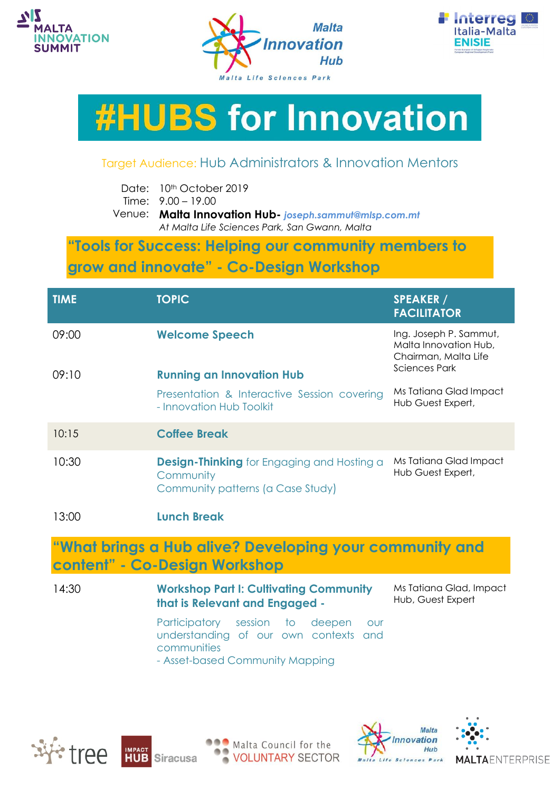





## **#HUBS for Innovation**

## Target Audience: Hub Administrators & Innovation Mentors

Time: 9.00 – 19.00

Venue: **Malta Innovation Hub-** *joseph.sammut@mlsp.com.mt At Malta Life Sciences Park, San Gwann, Malta*

## **"Tools for Success: Helping our community members to grow and innovate" - Co-Design Workshop**

| <b>TIME</b>                                             | <b>TOPIC</b>                                                                                        | <b>SPEAKER /</b><br><b>FACILITATOR</b>                                                          |  |
|---------------------------------------------------------|-----------------------------------------------------------------------------------------------------|-------------------------------------------------------------------------------------------------|--|
| 09:00                                                   | <b>Welcome Speech</b>                                                                               | Ing. Joseph P. Sammut,<br>Malta Innovation Hub,<br>Chairman, Malta Life<br><b>Sciences Park</b> |  |
| 09:10                                                   | <b>Running an Innovation Hub</b>                                                                    |                                                                                                 |  |
|                                                         | Presentation & Interactive Session covering<br>- Innovation Hub Toolkit                             | Ms Tatiana Glad Impact<br>Hub Guest Expert,                                                     |  |
| 10:15                                                   | <b>Coffee Break</b>                                                                                 |                                                                                                 |  |
| 10:30                                                   | <b>Design-Thinking</b> for Engaging and Hosting a<br>Community<br>Community patterns (a Case Study) | Ms Tatiana Glad Impact<br>Hub Guest Expert,                                                     |  |
| 13:00                                                   | <b>Lunch Break</b>                                                                                  |                                                                                                 |  |
| "What brings a Hub alive? Developing your community and |                                                                                                     |                                                                                                 |  |

## **content" - Co-Design Workshop**

14:30 **Workshop Part I: Cultivating Community that is Relevant and Engaged -** Ms Tatiana Glad, Impact Hub, Guest Expert

> Participatory session to deepen our understanding of our own contexts and communities

- Asset-based Community Mapping